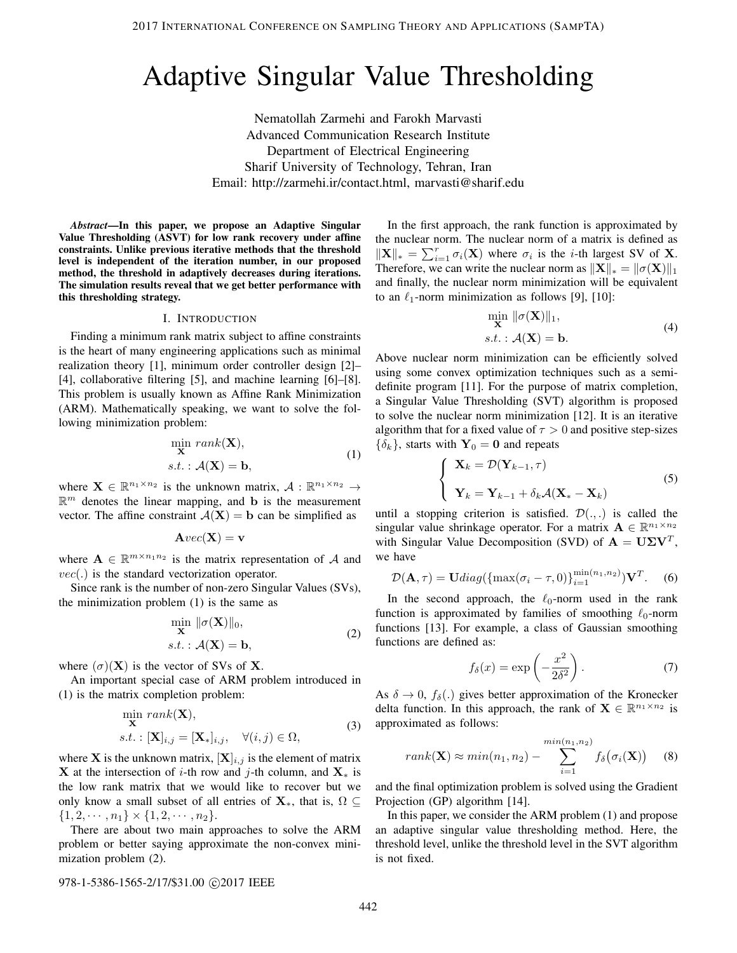# Adaptive Singular Value Thresholding

Nematollah Zarmehi and Farokh Marvasti Advanced Communication Research Institute Department of Electrical Engineering Sharif University of Technology, Tehran, Iran Email: http://zarmehi.ir/contact.html, marvasti@sharif.edu

*Abstract*—In this paper, we propose an Adaptive Singular Value Thresholding (ASVT) for low rank recovery under affine constraints. Unlike previous iterative methods that the threshold level is independent of the iteration number, in our proposed method, the threshold in adaptively decreases during iterations. The simulation results reveal that we get better performance with this thresholding strategy.

## I. INTRODUCTION

Finding a minimum rank matrix subject to affine constraints is the heart of many engineering applications such as minimal realization theory [1], minimum order controller design [2]– [4], collaborative filtering [5], and machine learning [6]–[8]. This problem is usually known as Affine Rank Minimization (ARM). Mathematically speaking, we want to solve the following minimization problem:

$$
\min_{\mathbf{X}} rank(\mathbf{X}),
$$
  
s.t. :  $A(\mathbf{X}) = \mathbf{b}$ , (1)

where  $X \in \mathbb{R}^{n_1 \times n_2}$  is the unknown matrix,  $A: \mathbb{R}^{n_1 \times n_2} \to$  $\mathbb{R}^m$  denotes the linear mapping, and b is the measurement vector. The affine constraint  $A(X) = b$  can be simplified as

$$
\mathbf{A}\text{vec}(\mathbf{X}) = \mathbf{v}
$$

where  $\mathbf{A} \in \mathbb{R}^{m \times n_1 n_2}$  is the matrix representation of A and  $vec(.)$  is the standard vectorization operator.

Since rank is the number of non-zero Singular Values (SVs), the minimization problem (1) is the same as

$$
\min_{\mathbf{X}} \|\sigma(\mathbf{X})\|_{0},
$$
  
s.t. :  $\mathcal{A}(\mathbf{X}) = \mathbf{b},$  (2)

where  $(\sigma)(\mathbf{X})$  is the vector of SVs of **X**.

An important special case of ARM problem introduced in (1) is the matrix completion problem:

$$
\min_{\mathbf{X}} rank(\mathbf{X}),
$$
  
s.t. :  $[\mathbf{X}]_{i,j} = [\mathbf{X}_{*}]_{i,j}, \quad \forall (i,j) \in \Omega,$  (3)

where **X** is the unknown matrix,  $[X]_{i,j}$  is the element of matrix **X** at the intersection of i-th row and j-th column, and  $X_*$  is the low rank matrix that we would like to recover but we only know a small subset of all entries of  $X_{*}$ , that is,  $\Omega \subseteq$  $\{1, 2, \cdots, n_1\} \times \{1, 2, \cdots, n_2\}.$ 

There are about two main approaches to solve the ARM problem or better saying approximate the non-convex minimization problem (2).

In the first approach, the rank function is approximated by the nuclear norm. The nuclear norm of a matrix is defined as  $\|\mathbf{X}\|_{*} = \sum_{i=1}^{r} \sigma_i(\mathbf{X})$  where  $\sigma_i$  is the *i*-th largest SV of **X**. Therefore, we can write the nuclear norm as  $\|\mathbf{X}\|_{*} = \|\sigma(\mathbf{X})\|_{1}$ and finally, the nuclear norm minimization will be equivalent to an  $\ell_1$ -norm minimization as follows [9], [10]:

$$
\min_{\mathbf{X}} \|\sigma(\mathbf{X})\|_1,
$$
  
s.t. :  $\mathcal{A}(\mathbf{X}) = \mathbf{b}.$  (4)

Above nuclear norm minimization can be efficiently solved using some convex optimization techniques such as a semidefinite program [11]. For the purpose of matrix completion, a Singular Value Thresholding (SVT) algorithm is proposed to solve the nuclear norm minimization [12]. It is an iterative algorithm that for a fixed value of  $\tau > 0$  and positive step-sizes  $\{\delta_k\}$ , starts with  $\mathbf{Y}_0 = \mathbf{0}$  and repeats

$$
\begin{cases} \mathbf{X}_k = \mathcal{D}(\mathbf{Y}_{k-1}, \tau) \\ \mathbf{Y}_k = \mathbf{Y}_{k-1} + \delta_k \mathcal{A}(\mathbf{X}_* - \mathbf{X}_k) \end{cases}
$$
(5)

until a stopping criterion is satisfied.  $\mathcal{D}(\cdot,\cdot)$  is called the singular value shrinkage operator. For a matrix  $\mathbf{A} \in \mathbb{R}^{n_1 \times n_2}$ with Singular Value Decomposition (SVD) of  $A = U\Sigma V^T$ , we have

$$
\mathcal{D}(\mathbf{A}, \tau) = \mathbf{U} \, diag(\{\max(\sigma_i - \tau, 0)\}_{i=1}^{\min(n_1, n_2)} )\mathbf{V}^T. \tag{6}
$$

In the second approach, the  $\ell_0$ -norm used in the rank function is approximated by families of smoothing  $\ell_0$ -norm functions [13]. For example, a class of Gaussian smoothing functions are defined as:

$$
f_{\delta}(x) = \exp\left(-\frac{x^2}{2\delta^2}\right). \tag{7}
$$

As  $\delta \to 0$ ,  $f_{\delta}(.)$  gives better approximation of the Kronecker delta function. In this approach, the rank of  $X \in \mathbb{R}^{n_1 \times n_2}$  is approximated as follows:

$$
rank(\mathbf{X}) \approx min(n_1, n_2) - \sum_{i=1}^{min(n_1, n_2)} f_{\delta}(\sigma_i(\mathbf{X})) \quad (8)
$$

and the final optimization problem is solved using the Gradient Projection (GP) algorithm [14].

In this paper, we consider the ARM problem (1) and propose an adaptive singular value thresholding method. Here, the threshold level, unlike the threshold level in the SVT algorithm is not fixed.

### 978-1-5386-1565-2/17/\$31.00 ©2017 IEEE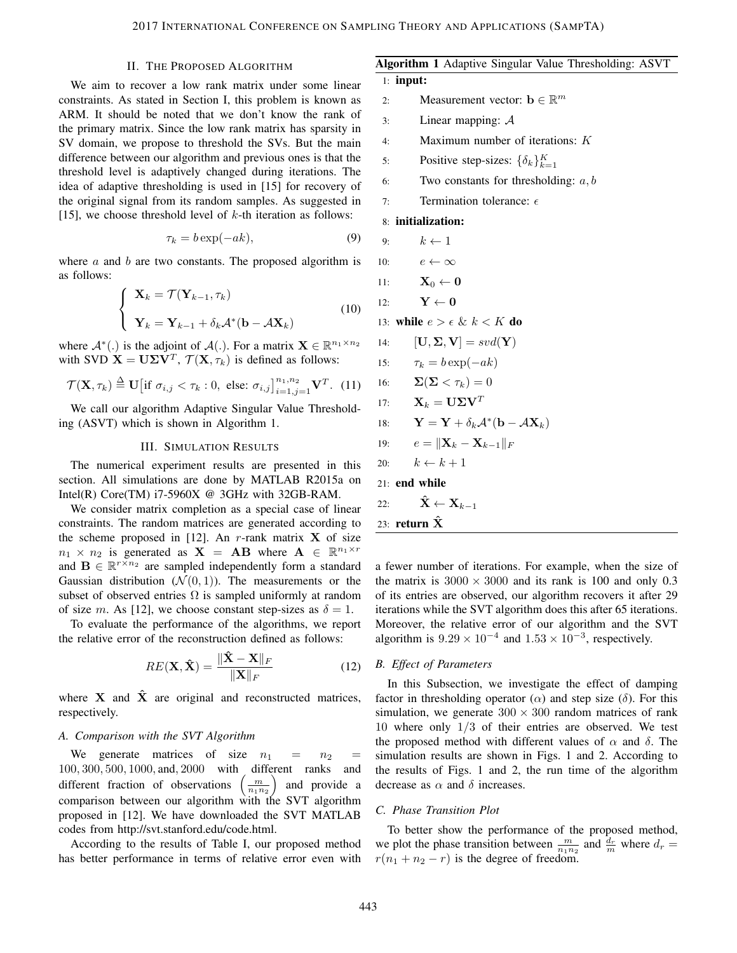# II. THE PROPOSED ALGORITHM

We aim to recover a low rank matrix under some linear constraints. As stated in Section I, this problem is known as ARM. It should be noted that we don't know the rank of the primary matrix. Since the low rank matrix has sparsity in SV domain, we propose to threshold the SVs. But the main difference between our algorithm and previous ones is that the threshold level is adaptively changed during iterations. The idea of adaptive thresholding is used in [15] for recovery of the original signal from its random samples. As suggested in [15], we choose threshold level of  $k$ -th iteration as follows:

$$
\tau_k = b \exp(-ak),\tag{9}
$$

where  $a$  and  $b$  are two constants. The proposed algorithm is as follows:

$$
\begin{cases} \mathbf{X}_k = \mathcal{T}(\mathbf{Y}_{k-1}, \tau_k) \\ \mathbf{Y}_k = \mathbf{Y}_{k-1} + \delta_k \mathcal{A}^*(\mathbf{b} - \mathcal{A}\mathbf{X}_k) \end{cases}
$$
(10)

where  $\mathcal{A}^*(.)$  is the adjoint of  $\mathcal{A}(.)$ . For a matrix  $\mathbf{X} \in \mathbb{R}^{n_1 \times n_2}$ with SVD  $X = U\Sigma V^T$ ,  $\mathcal{T}(X, \tau_k)$  is defined as follows:

$$
\mathcal{T}(\mathbf{X}, \tau_k) \stackrel{\Delta}{=} \mathbf{U} \big[ \text{if } \sigma_{i,j} < \tau_k : 0, \text{ else: } \sigma_{i,j} \big]_{i=1,j=1}^{n_1, n_2} \mathbf{V}^T. \tag{11}
$$

We call our algorithm Adaptive Singular Value Thresholding (ASVT) which is shown in Algorithm 1.

### III. SIMULATION RESULTS

The numerical experiment results are presented in this section. All simulations are done by MATLAB R2015a on Intel(R) Core(TM)  $i7-5960X$  @ 3GHz with 32GB-RAM.

We consider matrix completion as a special case of linear constraints. The random matrices are generated according to the scheme proposed in [12]. An r-rank matrix  $X$  of size  $n_1 \times n_2$  is generated as  $X = AB$  where  $A \in \mathbb{R}^{n_1 \times r}$ and  $\mathbf{B} \in \mathbb{R}^{r \times n_2}$  are sampled independently form a standard Gaussian distribution  $(\mathcal{N}(0, 1))$ . The measurements or the subset of observed entries  $\Omega$  is sampled uniformly at random of size m. As [12], we choose constant step-sizes as  $\delta = 1$ .

To evaluate the performance of the algorithms, we report the relative error of the reconstruction defined as follows:

$$
RE(\mathbf{X}, \hat{\mathbf{X}}) = \frac{\|\hat{\mathbf{X}} - \mathbf{X}\|_F}{\|\mathbf{X}\|_F}
$$
(12)

where  $X$  and  $\hat{X}$  are original and reconstructed matrices, respectively.

# *A. Comparison with the SVT Algorithm*

We generate matrices of size  $n_1 = n_2$ 100, 300, 500, 1000, and, 2000 with different ranks and different fraction of observations  $\left(\frac{m}{n_1n_2}\right)$ Í. and provide a comparison between our algorithm with the SVT algorithm proposed in [12]. We have downloaded the SVT MATLAB codes from http://svt.stanford.edu/code.html.

According to the results of Table I, our proposed method has better performance in terms of relative error even with

# Algorithm 1 Adaptive Singular Value Thresholding: ASVT

$$
1: \textbf{ input:}
$$

- 2: Measurement vector:  $\mathbf{b} \in \mathbb{R}^m$
- 3: Linear mapping: A
- 4: Maximum number of iterations: K
- 5: Positive step-sizes:  $\{\delta_k\}_{k=1}^K$
- 6: Two constants for thresholding:  $a, b$
- 7: Termination tolerance:  $\epsilon$

## 8: initialization:

9: 
$$
k \leftarrow 1
$$

- 10:  $e \leftarrow \infty$
- 11:  $\mathbf{X}_0 \leftarrow \mathbf{0}$

$$
12: \quad \quad \mathbf{Y} \leftarrow \mathbf{0}
$$

- 13: while  $e > \epsilon \& k < K$  do
- 14:  $[\mathbf{U}, \mathbf{\Sigma}, \mathbf{V}] = svd(\mathbf{Y})$
- 15:  $\tau_k = b \exp(-ak)$

16: 
$$
\mathbf{\Sigma}(\mathbf{\Sigma}<\tau_k)=0
$$

17: 
$$
\mathbf{X}_k = \mathbf{U} \mathbf{\Sigma} \mathbf{V}^T
$$

18: 
$$
\mathbf{Y} = \mathbf{Y} + \delta_k \mathcal{A}^*(\mathbf{b} - \mathcal{A}\mathbf{X}_k)
$$

$$
19: \qquad e = \|\mathbf{X}_k - \mathbf{X}_{k-1}\|_F
$$

$$
20: \qquad k \leftarrow k+1
$$

21: end while

22: 
$$
\hat{\mathbf{X}} \leftarrow \mathbf{X}_{k-1}
$$

23: return 
$$
\hat{X}
$$

a fewer number of iterations. For example, when the size of the matrix is  $3000 \times 3000$  and its rank is 100 and only 0.3 of its entries are observed, our algorithm recovers it after 29 iterations while the SVT algorithm does this after 65 iterations. Moreover, the relative error of our algorithm and the SVT algorithm is  $9.29 \times 10^{-4}$  and  $1.53 \times 10^{-3}$ , respectively.

# *B. Effect of Parameters*

In this Subsection, we investigate the effect of damping factor in thresholding operator ( $\alpha$ ) and step size ( $\delta$ ). For this simulation, we generate  $300 \times 300$  random matrices of rank 10 where only 1/3 of their entries are observed. We test the proposed method with different values of  $\alpha$  and  $\delta$ . The simulation results are shown in Figs. 1 and 2. According to the results of Figs. 1 and 2, the run time of the algorithm decrease as  $\alpha$  and  $\delta$  increases.

# *C. Phase Transition Plot*

To better show the performance of the proposed method, we plot the phase transition between  $\frac{m}{n_1 n_2}$  and  $\frac{d_r}{m}$  where  $d_r =$  $r(n_1 + n_2 - r)$  is the degree of freedom.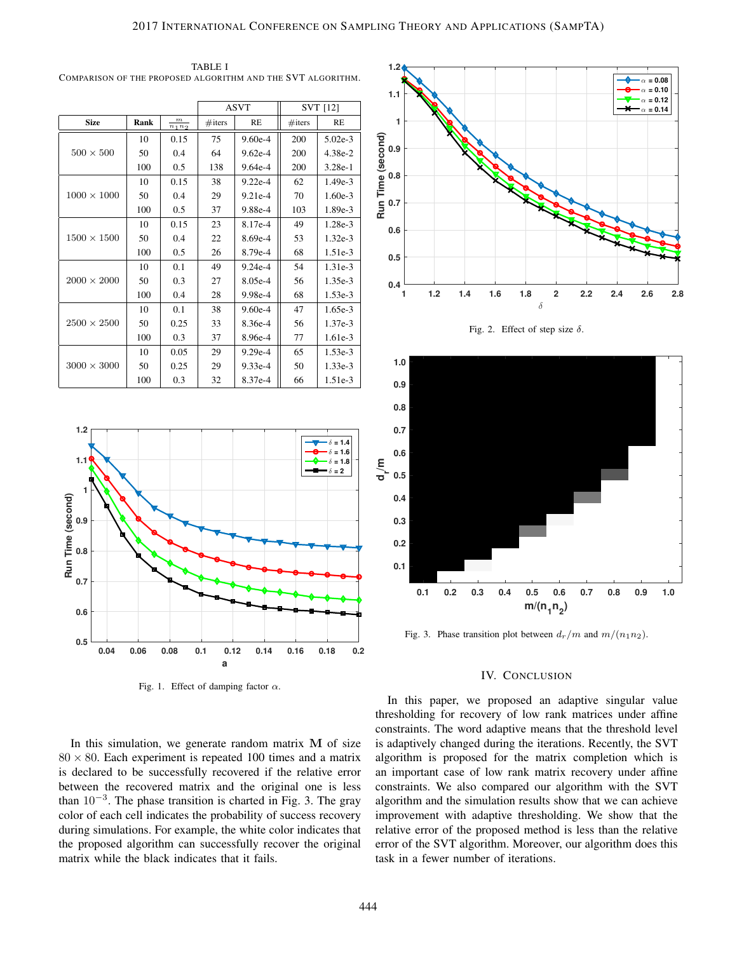$ASVT$   $\parallel$   $SVT$  [12] Size Rank  $\frac{m}{n_1n_2}$  $\#$ iters | RE |  $\#$ iters | RE  $500 \times 500$ 10 0.15 75 9.60e-4 200 5.02e-3  $50 \mid 0.4 \mid 64 \mid 9.62e-4 \mid 200 \mid 4.38e-2$ 100 0.5 138 9.64e-4 200 3.28e-1  $1000 \times 1000$  $10 \t 0.15 \t 38 \t 9.22e-4 \t 62 \t 1.49e-3$ 50 0.4 29 9.21e-4 70 1.60e-3 100 0.5 37 9.88e-4 103 1.89e-3  $1500 \times 1500$  $10 \t 0.15 \t 23 \t 8.17e-4 \t 49 \t 1.28e-3$ 50 0.4 22 8.69e-4 53 1.32e-3 100 0.5 26 8.79e-4 68 1.51e-3  $2000 \times 2000$  $10 \mid 0.1 \mid 49 \mid 9.24e-4 \mid 54 \mid 1.31e-3$ 50 0.3 27 8.05e-4 56 1.35e-3 100 0.4 28 9.98e-4 68 1.53e-3  $2500 \times 2500$  $10 \mid 0.1 \mid 38 \mid 9.60e-4 \mid 47 \mid 1.65e-3$  $50 \mid 0.25 \mid 33 \mid 8.36e-4 \mid 56 \mid 1.37e-3$ 100 0.3 37 8.96e-4 77 1.61e-3  $3000\times3000$  $10 \mid 0.05 \mid 29 \mid 9.29e-4 \mid 65 \mid 1.53e-3$  $50 \mid 0.25 \mid 29 \mid 9.33e-4 \mid 50 \mid 1.33e-3$ 100 0.3 32 8.37e-4 66 1.51e-3

TABLE I COMPARISON OF THE PROPOSED ALGORITHM AND THE SVT ALGORITHM.



Fig. 1. Effect of damping factor  $\alpha$ .

In this simulation, we generate random matrix  $M$  of size  $80 \times 80$ . Each experiment is repeated 100 times and a matrix is declared to be successfully recovered if the relative error between the recovered matrix and the original one is less than  $10^{-3}$ . The phase transition is charted in Fig. 3. The gray color of each cell indicates the probability of success recovery during simulations. For example, the white color indicates that the proposed algorithm can successfully recover the original matrix while the black indicates that it fails.







Fig. 3. Phase transition plot between  $d_r/m$  and  $m/(n_1n_2)$ .

# IV. CONCLUSION

In this paper, we proposed an adaptive singular value thresholding for recovery of low rank matrices under affine constraints. The word adaptive means that the threshold level is adaptively changed during the iterations. Recently, the SVT algorithm is proposed for the matrix completion which is an important case of low rank matrix recovery under affine constraints. We also compared our algorithm with the SVT algorithm and the simulation results show that we can achieve improvement with adaptive thresholding. We show that the relative error of the proposed method is less than the relative error of the SVT algorithm. Moreover, our algorithm does this task in a fewer number of iterations.